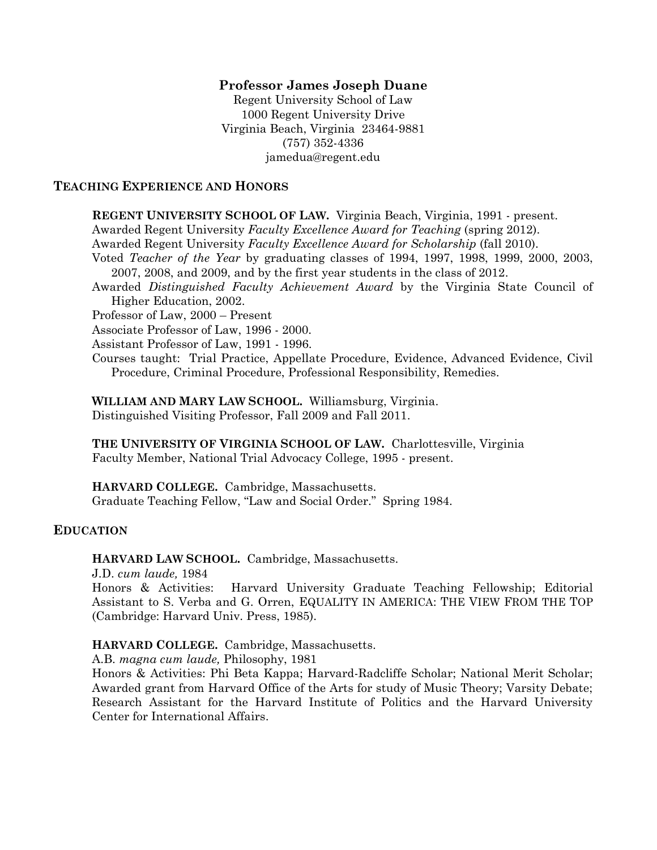### **Professor James Joseph Duane**

Regent University School of Law 1000 Regent University Drive Virginia Beach, Virginia 23464-9881 (757) 352-4336 jamedua@regent.edu

#### **TEACHING EXPERIENCE AND HONORS**

**REGENT UNIVERSITY SCHOOL OF LAW.** Virginia Beach, Virginia, 1991 - present.

Awarded Regent University *Faculty Excellence Award for Teaching* (spring 2012).

Awarded Regent University *Faculty Excellence Award for Scholarship* (fall 2010).

Voted *Teacher of the Year* by graduating classes of 1994, 1997, 1998, 1999, 2000, 2003, 2007, 2008, and 2009, and by the first year students in the class of 2012.

Awarded *Distinguished Faculty Achievement Award* by the Virginia State Council of Higher Education, 2002.

Professor of Law, 2000 – Present

Associate Professor of Law, 1996 - 2000.

Assistant Professor of Law, 1991 - 1996.

Courses taught: Trial Practice, Appellate Procedure, Evidence, Advanced Evidence, Civil Procedure, Criminal Procedure, Professional Responsibility, Remedies.

**WILLIAM AND MARY LAW SCHOOL.** Williamsburg, Virginia. Distinguished Visiting Professor, Fall 2009 and Fall 2011.

**THE UNIVERSITY OF VIRGINIA SCHOOL OF LAW.** Charlottesville, Virginia Faculty Member, National Trial Advocacy College, 1995 - present.

**HARVARD COLLEGE.** Cambridge, Massachusetts. Graduate Teaching Fellow, "Law and Social Order." Spring 1984.

# **EDUCATION**

**HARVARD LAW SCHOOL.** Cambridge, Massachusetts.

J.D. *cum laude,* 1984

Honors & Activities: Harvard University Graduate Teaching Fellowship; Editorial Assistant to S. Verba and G. Orren, EQUALITY IN AMERICA: THE VIEW FROM THE TOP (Cambridge: Harvard Univ. Press, 1985).

#### **HARVARD COLLEGE.** Cambridge, Massachusetts.

A.B. *magna cum laude,* Philosophy, 1981

Honors & Activities: Phi Beta Kappa; Harvard-Radcliffe Scholar; National Merit Scholar; Awarded grant from Harvard Office of the Arts for study of Music Theory; Varsity Debate; Research Assistant for the Harvard Institute of Politics and the Harvard University Center for International Affairs.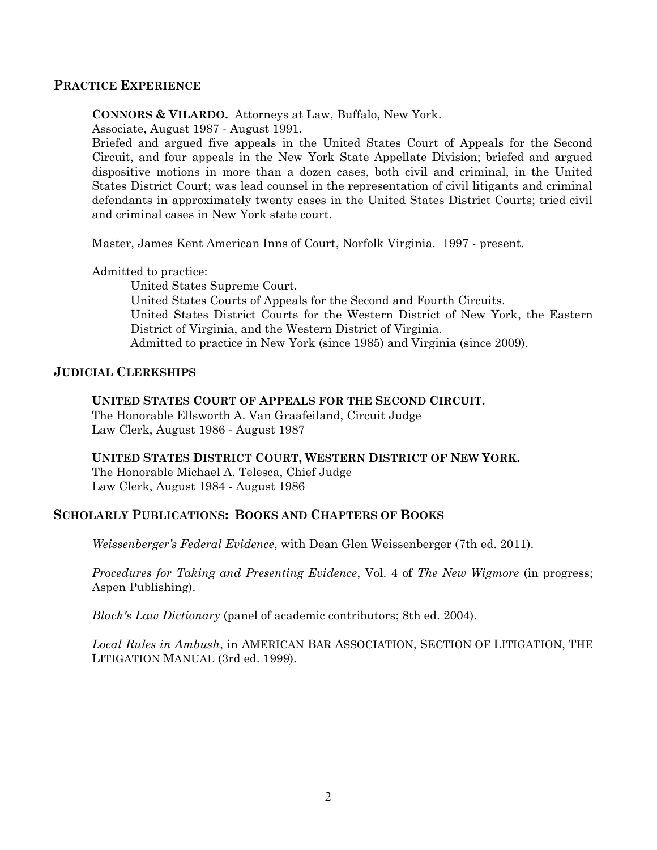### **PRACTICE EXPERIENCE**

**CONNORS & VILARDO.** Attorneys at Law, Buffalo, New York.

Associate, August 1987 - August 1991.

Briefed and argued five appeals in the United States Court of Appeals for the Second Circuit, and four appeals in the New York State Appellate Division; briefed and argued dispositive motions in more than a dozen cases, both civil and criminal, in the United States District Court; was lead counsel in the representation of civil litigants and criminal defendants in approximately twenty cases in the United States District Courts; tried civil and criminal cases in New York state court.

Master, James Kent American Inns of Court, Norfolk Virginia. 1997 - present.

Admitted to practice:

 United States Supreme Court. United States Courts of Appeals for the Second and Fourth Circuits. United States District Courts for the Western District of New York, the Eastern District of Virginia, and the Western District of Virginia. Admitted to practice in New York (since 1985) and Virginia (since 2009).

# **JUDICIAL CLERKSHIPS**

### **UNITED STATES COURT OF APPEALS FOR THE SECOND CIRCUIT.**

The Honorable Ellsworth A. Van Graafeiland, Circuit Judge Law Clerk, August 1986 - August 1987

# **UNITED STATES DISTRICT COURT, WESTERN DISTRICT OF NEW YORK.**

The Honorable Michael A. Telesca, Chief Judge Law Clerk, August 1984 - August 1986

# **SCHOLARLY PUBLICATIONS: BOOKS AND CHAPTERS OF BOOKS**

*Weissenberger's Federal Evidence*, with Dean Glen Weissenberger (7th ed. 2011).

*Procedures for Taking and Presenting Evidence*, Vol. 4 of *The New Wigmore* (in progress; Aspen Publishing).

*Black's Law Dictionary* (panel of academic contributors; 8th ed. 2004).

*Local Rules in Ambush*, in AMERICAN BAR ASSOCIATION, SECTION OF LITIGATION, THE LITIGATION MANUAL (3rd ed. 1999).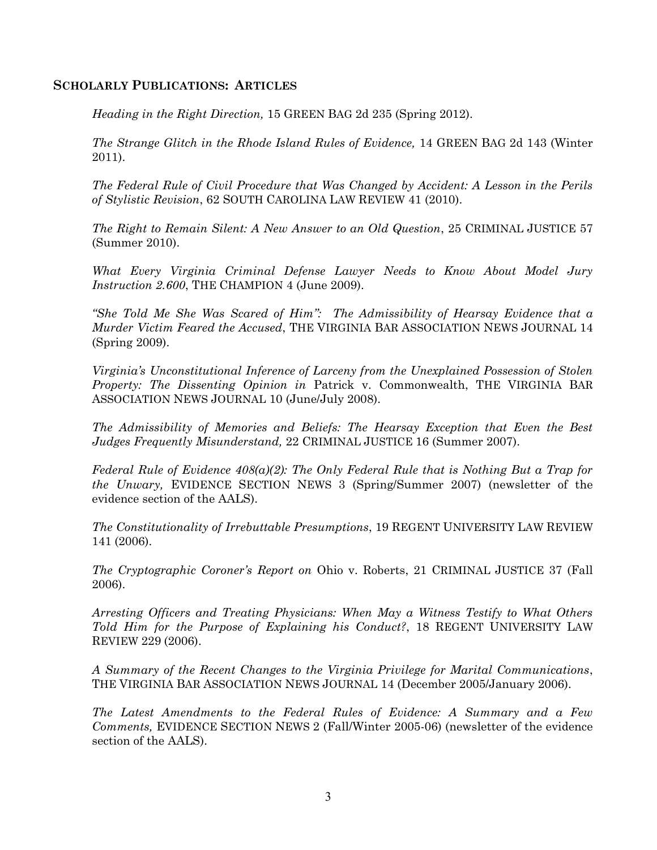# **SCHOLARLY PUBLICATIONS: ARTICLES**

*Heading in the Right Direction,* 15 GREEN BAG 2d 235 (Spring 2012).

*The Strange Glitch in the Rhode Island Rules of Evidence,* 14 GREEN BAG 2d 143 (Winter 2011).

*The Federal Rule of Civil Procedure that Was Changed by Accident: A Lesson in the Perils of Stylistic Revision*, 62 SOUTH CAROLINA LAW REVIEW 41 (2010).

*The Right to Remain Silent: A New Answer to an Old Question*, 25 CRIMINAL JUSTICE 57 (Summer 2010).

*What Every Virginia Criminal Defense Lawyer Needs to Know About Model Jury Instruction 2.600*, THE CHAMPION 4 (June 2009).

*"She Told Me She Was Scared of Him": The Admissibility of Hearsay Evidence that a Murder Victim Feared the Accused*, THE VIRGINIA BAR ASSOCIATION NEWS JOURNAL 14 (Spring 2009).

*Virginia's Unconstitutional Inference of Larceny from the Unexplained Possession of Stolen Property: The Dissenting Opinion in* Patrick v. Commonwealth, THE VIRGINIA BAR ASSOCIATION NEWS JOURNAL 10 (June/July 2008).

*The Admissibility of Memories and Beliefs: The Hearsay Exception that Even the Best Judges Frequently Misunderstand,* 22 CRIMINAL JUSTICE 16 (Summer 2007).

*Federal Rule of Evidence 408(a)(2): The Only Federal Rule that is Nothing But a Trap for the Unwary,* EVIDENCE SECTION NEWS 3 (Spring/Summer 2007) (newsletter of the evidence section of the AALS).

*The Constitutionality of Irrebuttable Presumptions*, 19 REGENT UNIVERSITY LAW REVIEW 141 (2006).

*The Cryptographic Coroner's Report on* Ohio v. Roberts, 21 CRIMINAL JUSTICE 37 (Fall 2006).

*Arresting Officers and Treating Physicians: When May a Witness Testify to What Others Told Him for the Purpose of Explaining his Conduct?*, 18 REGENT UNIVERSITY LAW REVIEW 229 (2006).

*A Summary of the Recent Changes to the Virginia Privilege for Marital Communications*, THE VIRGINIA BAR ASSOCIATION NEWS JOURNAL 14 (December 2005/January 2006).

*The Latest Amendments to the Federal Rules of Evidence: A Summary and a Few Comments,* EVIDENCE SECTION NEWS 2 (Fall/Winter 2005-06) (newsletter of the evidence section of the AALS).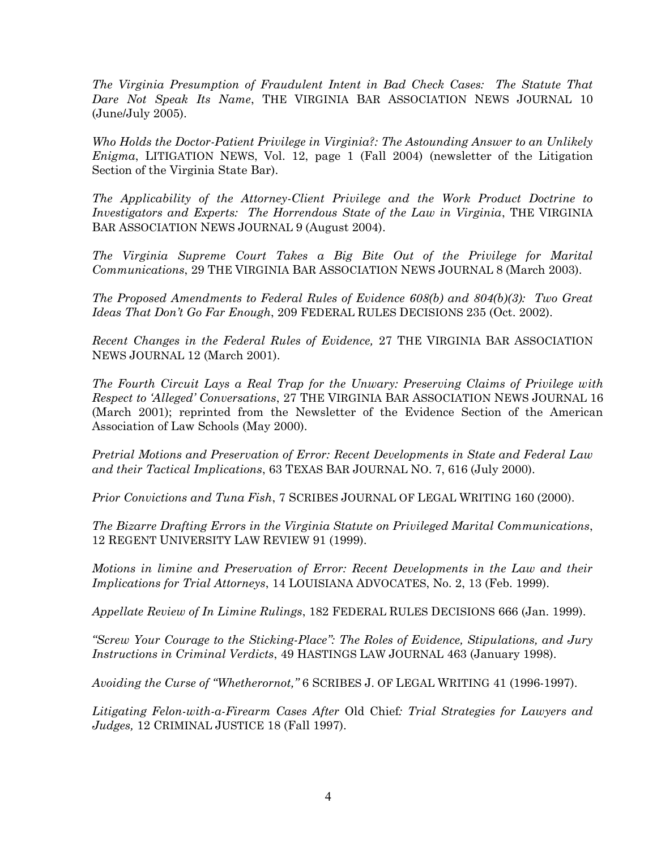*The Virginia Presumption of Fraudulent Intent in Bad Check Cases: The Statute That Dare Not Speak Its Name*, THE VIRGINIA BAR ASSOCIATION NEWS JOURNAL 10 (June/July 2005).

*Who Holds the Doctor-Patient Privilege in Virginia?: The Astounding Answer to an Unlikely Enigma*, LITIGATION NEWS, Vol. 12, page 1 (Fall 2004) (newsletter of the Litigation Section of the Virginia State Bar).

*The Applicability of the Attorney-Client Privilege and the Work Product Doctrine to Investigators and Experts: The Horrendous State of the Law in Virginia*, THE VIRGINIA BAR ASSOCIATION NEWS JOURNAL 9 (August 2004).

*The Virginia Supreme Court Takes a Big Bite Out of the Privilege for Marital Communications*, 29 THE VIRGINIA BAR ASSOCIATION NEWS JOURNAL 8 (March 2003).

*The Proposed Amendments to Federal Rules of Evidence 608(b) and 804(b)(3): Two Great Ideas That Don't Go Far Enough*, 209 FEDERAL RULES DECISIONS 235 (Oct. 2002).

*Recent Changes in the Federal Rules of Evidence,* 27 THE VIRGINIA BAR ASSOCIATION NEWS JOURNAL 12 (March 2001).

*The Fourth Circuit Lays a Real Trap for the Unwary: Preserving Claims of Privilege with Respect to 'Alleged' Conversations*, 27 THE VIRGINIA BAR ASSOCIATION NEWS JOURNAL 16 (March 2001); reprinted from the Newsletter of the Evidence Section of the American Association of Law Schools (May 2000).

*Pretrial Motions and Preservation of Error: Recent Developments in State and Federal Law and their Tactical Implications*, 63 TEXAS BAR JOURNAL NO. 7, 616 (July 2000).

*Prior Convictions and Tuna Fish*, 7 SCRIBES JOURNAL OF LEGAL WRITING 160 (2000).

*The Bizarre Drafting Errors in the Virginia Statute on Privileged Marital Communications*, 12 REGENT UNIVERSITY LAW REVIEW 91 (1999).

*Motions in limine and Preservation of Error: Recent Developments in the Law and their Implications for Trial Attorneys*, 14 LOUISIANA ADVOCATES, No. 2, 13 (Feb. 1999).

*Appellate Review of In Limine Rulings*, 182 FEDERAL RULES DECISIONS 666 (Jan. 1999).

*"Screw Your Courage to the Sticking-Place": The Roles of Evidence, Stipulations, and Jury Instructions in Criminal Verdicts*, 49 HASTINGS LAW JOURNAL 463 (January 1998).

*Avoiding the Curse of "Whetherornot,"* 6 SCRIBES J. OF LEGAL WRITING 41 (1996-1997).

*Litigating Felon-with-a-Firearm Cases After* Old Chief*: Trial Strategies for Lawyers and Judges,* 12 CRIMINAL JUSTICE 18 (Fall 1997).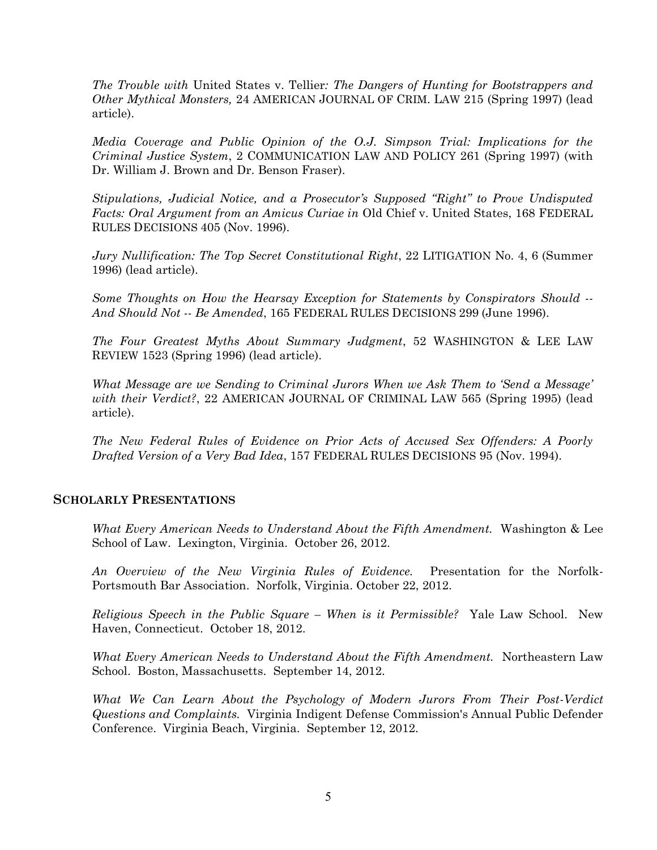*The Trouble with* United States v. Tellier*: The Dangers of Hunting for Bootstrappers and Other Mythical Monsters,* 24 AMERICAN JOURNAL OF CRIM. LAW 215 (Spring 1997) (lead article).

*Media Coverage and Public Opinion of the O.J. Simpson Trial: Implications for the Criminal Justice System*, 2 COMMUNICATION LAW AND POLICY 261 (Spring 1997) (with Dr. William J. Brown and Dr. Benson Fraser).

*Stipulations, Judicial Notice, and a Prosecutor's Supposed "Right" to Prove Undisputed Facts: Oral Argument from an Amicus Curiae in* Old Chief v. United States, 168 FEDERAL RULES DECISIONS 405 (Nov. 1996).

*Jury Nullification: The Top Secret Constitutional Right*, 22 LITIGATION No. 4, 6 (Summer 1996) (lead article).

*Some Thoughts on How the Hearsay Exception for Statements by Conspirators Should -- And Should Not -- Be Amended*, 165 FEDERAL RULES DECISIONS 299 (June 1996).

*The Four Greatest Myths About Summary Judgment*, 52 WASHINGTON & LEE LAW REVIEW 1523 (Spring 1996) (lead article).

*What Message are we Sending to Criminal Jurors When we Ask Them to 'Send a Message' with their Verdict?*, 22 AMERICAN JOURNAL OF CRIMINAL LAW 565 (Spring 1995) (lead article).

*The New Federal Rules of Evidence on Prior Acts of Accused Sex Offenders: A Poorly Drafted Version of a Very Bad Idea*, 157 FEDERAL RULES DECISIONS 95 (Nov. 1994).

#### **SCHOLARLY PRESENTATIONS**

*What Every American Needs to Understand About the Fifth Amendment.* Washington & Lee School of Law. Lexington, Virginia. October 26, 2012.

*An Overview of the New Virginia Rules of Evidence.* Presentation for the Norfolk-Portsmouth Bar Association. Norfolk, Virginia. October 22, 2012.

*Religious Speech in the Public Square – When is it Permissible?* Yale Law School. New Haven, Connecticut. October 18, 2012.

*What Every American Needs to Understand About the Fifth Amendment.* Northeastern Law School. Boston, Massachusetts. September 14, 2012.

*What We Can Learn About the Psychology of Modern Jurors From Their Post-Verdict Questions and Complaints.* Virginia Indigent Defense Commission's Annual Public Defender Conference. Virginia Beach, Virginia. September 12, 2012.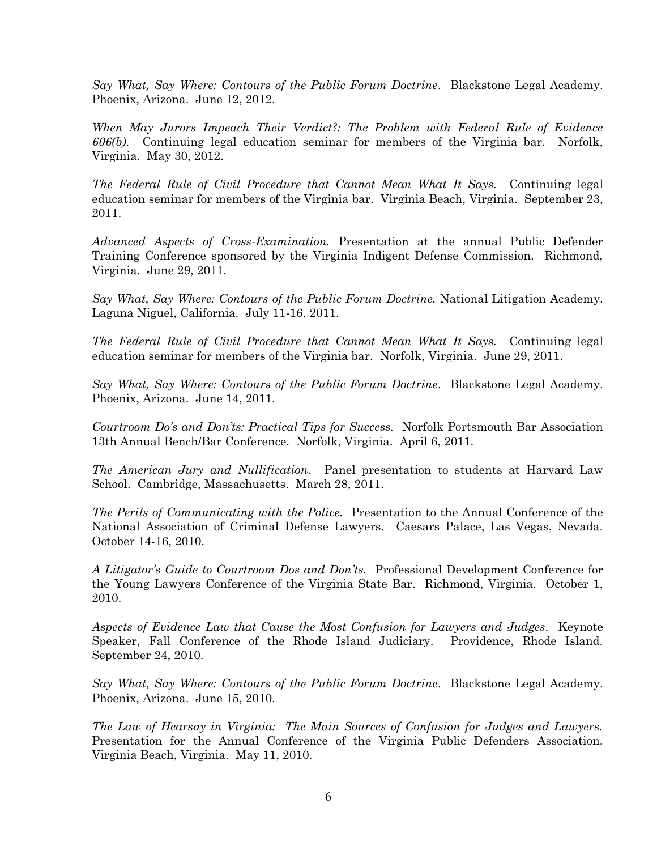*Say What, Say Where: Contours of the Public Forum Doctrine*. Blackstone Legal Academy. Phoenix, Arizona. June 12, 2012.

*When May Jurors Impeach Their Verdict?: The Problem with Federal Rule of Evidence 606(b).* Continuing legal education seminar for members of the Virginia bar. Norfolk, Virginia. May 30, 2012.

*The Federal Rule of Civil Procedure that Cannot Mean What It Says.* Continuing legal education seminar for members of the Virginia bar. Virginia Beach, Virginia. September 23, 2011.

*Advanced Aspects of Cross-Examination.* Presentation at the annual Public Defender Training Conference sponsored by the Virginia Indigent Defense Commission. Richmond, Virginia. June 29, 2011.

*Say What, Say Where: Contours of the Public Forum Doctrine.* National Litigation Academy. Laguna Niguel, California. July 11-16, 2011.

*The Federal Rule of Civil Procedure that Cannot Mean What It Says.* Continuing legal education seminar for members of the Virginia bar. Norfolk, Virginia. June 29, 2011.

*Say What, Say Where: Contours of the Public Forum Doctrine*. Blackstone Legal Academy. Phoenix, Arizona. June 14, 2011.

*Courtroom Do's and Don'ts: Practical Tips for Success.* Norfolk Portsmouth Bar Association 13th Annual Bench/Bar Conference. Norfolk, Virginia. April 6, 2011.

*The American Jury and Nullification.* Panel presentation to students at Harvard Law School. Cambridge, Massachusetts. March 28, 2011.

*The Perils of Communicating with the Police.* Presentation to the Annual Conference of the National Association of Criminal Defense Lawyers. Caesars Palace, Las Vegas, Nevada. October 14-16, 2010.

*A Litigator's Guide to Courtroom Dos and Don'ts.* Professional Development Conference for the Young Lawyers Conference of the Virginia State Bar. Richmond, Virginia. October 1, 2010.

*Aspects of Evidence Law that Cause the Most Confusion for Lawyers and Judges.* Keynote Speaker, Fall Conference of the Rhode Island Judiciary. Providence, Rhode Island. September 24, 2010.

*Say What, Say Where: Contours of the Public Forum Doctrine*. Blackstone Legal Academy. Phoenix, Arizona. June 15, 2010.

*The Law of Hearsay in Virginia: The Main Sources of Confusion for Judges and Lawyers.*  Presentation for the Annual Conference of the Virginia Public Defenders Association. Virginia Beach, Virginia. May 11, 2010.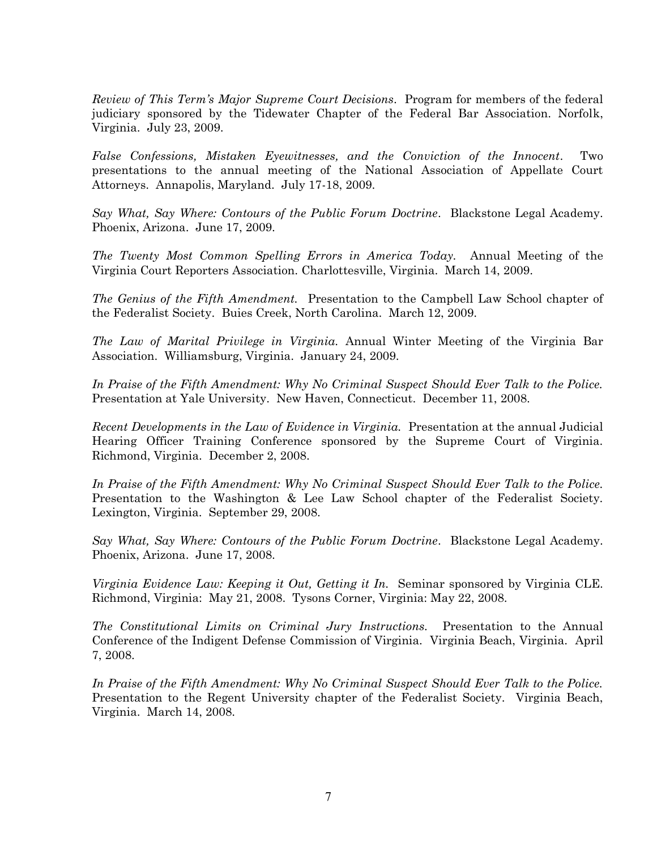*Review of This Term's Major Supreme Court Decisions*. Program for members of the federal judiciary sponsored by the Tidewater Chapter of the Federal Bar Association. Norfolk, Virginia. July 23, 2009.

*False Confessions, Mistaken Eyewitnesses, and the Conviction of the Innocent*. Two presentations to the annual meeting of the National Association of Appellate Court Attorneys. Annapolis, Maryland. July 17-18, 2009.

*Say What, Say Where: Contours of the Public Forum Doctrine*. Blackstone Legal Academy. Phoenix, Arizona. June 17, 2009.

*The Twenty Most Common Spelling Errors in America Today.* Annual Meeting of the Virginia Court Reporters Association. Charlottesville, Virginia. March 14, 2009.

*The Genius of the Fifth Amendment.* Presentation to the Campbell Law School chapter of the Federalist Society. Buies Creek, North Carolina. March 12, 2009.

*The Law of Marital Privilege in Virginia.* Annual Winter Meeting of the Virginia Bar Association. Williamsburg, Virginia. January 24, 2009.

*In Praise of the Fifth Amendment: Why No Criminal Suspect Should Ever Talk to the Police.* Presentation at Yale University. New Haven, Connecticut. December 11, 2008.

*Recent Developments in the Law of Evidence in Virginia.* Presentation at the annual Judicial Hearing Officer Training Conference sponsored by the Supreme Court of Virginia. Richmond, Virginia. December 2, 2008.

*In Praise of the Fifth Amendment: Why No Criminal Suspect Should Ever Talk to the Police.* Presentation to the Washington & Lee Law School chapter of the Federalist Society. Lexington, Virginia. September 29, 2008.

*Say What, Say Where: Contours of the Public Forum Doctrine*. Blackstone Legal Academy. Phoenix, Arizona. June 17, 2008.

*Virginia Evidence Law: Keeping it Out, Getting it In.* Seminar sponsored by Virginia CLE. Richmond, Virginia: May 21, 2008. Tysons Corner, Virginia: May 22, 2008.

*The Constitutional Limits on Criminal Jury Instructions.* Presentation to the Annual Conference of the Indigent Defense Commission of Virginia. Virginia Beach, Virginia. April 7, 2008.

*In Praise of the Fifth Amendment: Why No Criminal Suspect Should Ever Talk to the Police.* Presentation to the Regent University chapter of the Federalist Society. Virginia Beach, Virginia. March 14, 2008.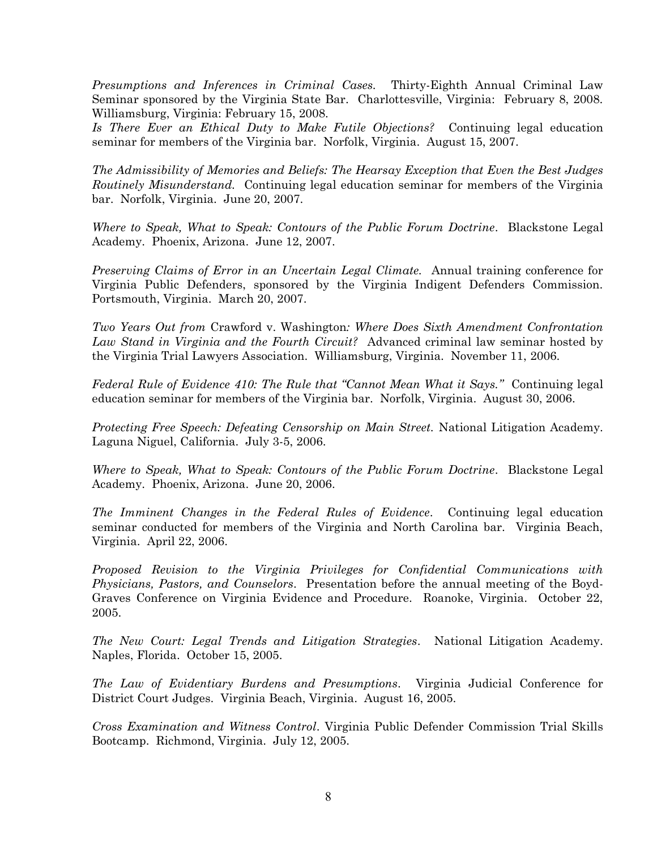*Presumptions and Inferences in Criminal Cases.* Thirty-Eighth Annual Criminal Law Seminar sponsored by the Virginia State Bar. Charlottesville, Virginia: February 8, 2008. Williamsburg, Virginia: February 15, 2008.

*Is There Ever an Ethical Duty to Make Futile Objections?* Continuing legal education seminar for members of the Virginia bar. Norfolk, Virginia. August 15, 2007.

*The Admissibility of Memories and Beliefs: The Hearsay Exception that Even the Best Judges Routinely Misunderstand.* Continuing legal education seminar for members of the Virginia bar. Norfolk, Virginia. June 20, 2007.

*Where to Speak, What to Speak: Contours of the Public Forum Doctrine*. Blackstone Legal Academy. Phoenix, Arizona. June 12, 2007.

*Preserving Claims of Error in an Uncertain Legal Climate.* Annual training conference for Virginia Public Defenders, sponsored by the Virginia Indigent Defenders Commission. Portsmouth, Virginia. March 20, 2007.

*Two Years Out from* Crawford v. Washington*: Where Does Sixth Amendment Confrontation Law Stand in Virginia and the Fourth Circuit?* Advanced criminal law seminar hosted by the Virginia Trial Lawyers Association. Williamsburg, Virginia. November 11, 2006.

*Federal Rule of Evidence 410: The Rule that "Cannot Mean What it Says."* Continuing legal education seminar for members of the Virginia bar. Norfolk, Virginia. August 30, 2006.

*Protecting Free Speech: Defeating Censorship on Main Street.* National Litigation Academy. Laguna Niguel, California. July 3-5, 2006.

*Where to Speak, What to Speak: Contours of the Public Forum Doctrine*. Blackstone Legal Academy. Phoenix, Arizona. June 20, 2006.

*The Imminent Changes in the Federal Rules of Evidence*. Continuing legal education seminar conducted for members of the Virginia and North Carolina bar. Virginia Beach, Virginia. April 22, 2006.

*Proposed Revision to the Virginia Privileges for Confidential Communications with Physicians, Pastors, and Counselors*. Presentation before the annual meeting of the Boyd-Graves Conference on Virginia Evidence and Procedure. Roanoke, Virginia. October 22, 2005.

*The New Court: Legal Trends and Litigation Strategies*. National Litigation Academy. Naples, Florida. October 15, 2005.

*The Law of Evidentiary Burdens and Presumptions*. Virginia Judicial Conference for District Court Judges. Virginia Beach, Virginia. August 16, 2005.

*Cross Examination and Witness Control*. Virginia Public Defender Commission Trial Skills Bootcamp. Richmond, Virginia. July 12, 2005.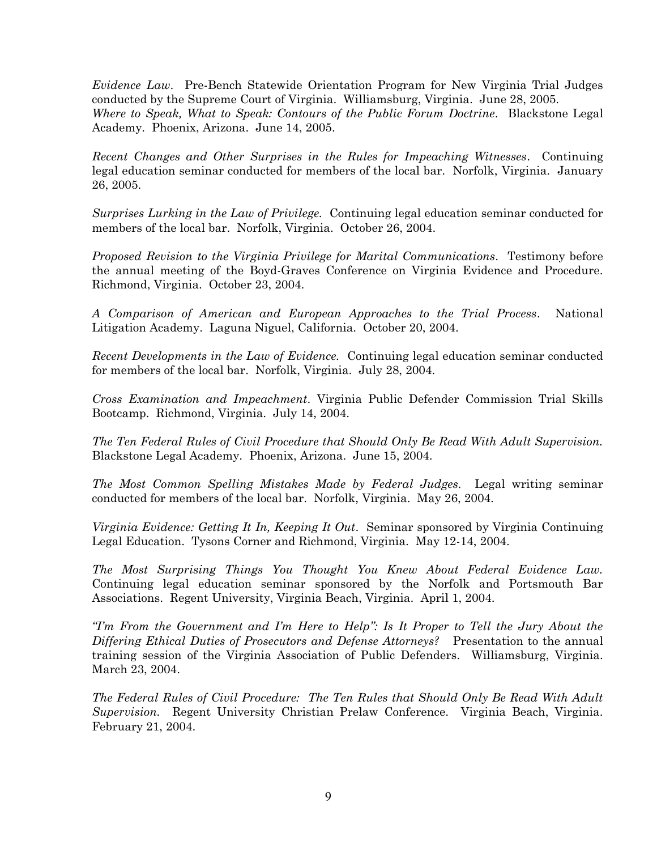*Evidence Law*. Pre-Bench Statewide Orientation Program for New Virginia Trial Judges conducted by the Supreme Court of Virginia. Williamsburg, Virginia. June 28, 2005. *Where to Speak, What to Speak: Contours of the Public Forum Doctrine*. Blackstone Legal Academy. Phoenix, Arizona. June 14, 2005.

*Recent Changes and Other Surprises in the Rules for Impeaching Witnesses*. Continuing legal education seminar conducted for members of the local bar. Norfolk, Virginia. January 26, 2005.

*Surprises Lurking in the Law of Privilege.* Continuing legal education seminar conducted for members of the local bar. Norfolk, Virginia. October 26, 2004.

*Proposed Revision to the Virginia Privilege for Marital Communications*. Testimony before the annual meeting of the Boyd-Graves Conference on Virginia Evidence and Procedure. Richmond, Virginia. October 23, 2004.

*A Comparison of American and European Approaches to the Trial Process*. National Litigation Academy. Laguna Niguel, California. October 20, 2004.

*Recent Developments in the Law of Evidence.* Continuing legal education seminar conducted for members of the local bar. Norfolk, Virginia. July 28, 2004.

*Cross Examination and Impeachment*. Virginia Public Defender Commission Trial Skills Bootcamp. Richmond, Virginia. July 14, 2004.

*The Ten Federal Rules of Civil Procedure that Should Only Be Read With Adult Supervision.* Blackstone Legal Academy. Phoenix, Arizona. June 15, 2004.

*The Most Common Spelling Mistakes Made by Federal Judges.* Legal writing seminar conducted for members of the local bar. Norfolk, Virginia. May 26, 2004.

*Virginia Evidence: Getting It In, Keeping It Out*. Seminar sponsored by Virginia Continuing Legal Education. Tysons Corner and Richmond, Virginia. May 12-14, 2004.

*The Most Surprising Things You Thought You Knew About Federal Evidence Law.*  Continuing legal education seminar sponsored by the Norfolk and Portsmouth Bar Associations. Regent University, Virginia Beach, Virginia. April 1, 2004.

*Tm From the Government and I'm Here to Help": Is It Proper to Tell the Jury About the Differing Ethical Duties of Prosecutors and Defense Attorneys?* Presentation to the annual training session of the Virginia Association of Public Defenders. Williamsburg, Virginia. March 23, 2004.

*The Federal Rules of Civil Procedure: The Ten Rules that Should Only Be Read With Adult Supervision.* Regent University Christian Prelaw Conference. Virginia Beach, Virginia. February 21, 2004.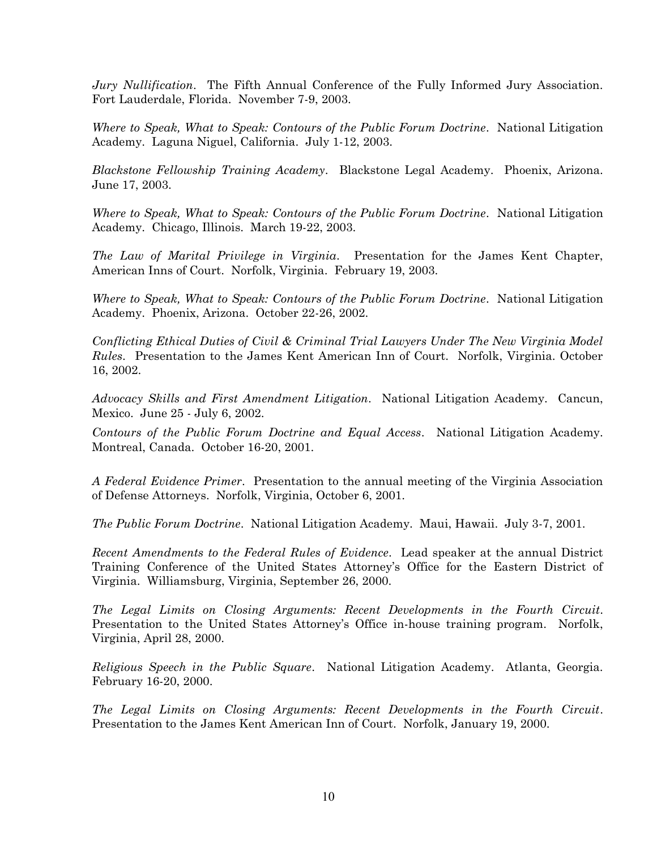*Jury Nullification*. The Fifth Annual Conference of the Fully Informed Jury Association. Fort Lauderdale, Florida. November 7-9, 2003.

*Where to Speak, What to Speak: Contours of the Public Forum Doctrine*. National Litigation Academy. Laguna Niguel, California. July 1-12, 2003.

*Blackstone Fellowship Training Academy*. Blackstone Legal Academy. Phoenix, Arizona. June 17, 2003.

*Where to Speak, What to Speak: Contours of the Public Forum Doctrine*. National Litigation Academy. Chicago, Illinois. March 19-22, 2003.

*The Law of Marital Privilege in Virginia*. Presentation for the James Kent Chapter, American Inns of Court. Norfolk, Virginia. February 19, 2003.

*Where to Speak, What to Speak: Contours of the Public Forum Doctrine*. National Litigation Academy. Phoenix, Arizona. October 22-26, 2002.

*Conflicting Ethical Duties of Civil & Criminal Trial Lawyers Under The New Virginia Model Rules*. Presentation to the James Kent American Inn of Court. Norfolk, Virginia. October 16, 2002.

*Advocacy Skills and First Amendment Litigation*. National Litigation Academy. Cancun, Mexico. June 25 - July 6, 2002.

*Contours of the Public Forum Doctrine and Equal Access*. National Litigation Academy. Montreal, Canada. October 16-20, 2001.

*A Federal Evidence Primer*. Presentation to the annual meeting of the Virginia Association of Defense Attorneys. Norfolk, Virginia, October 6, 2001.

*The Public Forum Doctrine*. National Litigation Academy. Maui, Hawaii. July 3-7, 2001.

*Recent Amendments to the Federal Rules of Evidence*. Lead speaker at the annual District Training Conference of the United States Attorney's Office for the Eastern District of Virginia. Williamsburg, Virginia, September 26, 2000.

*The Legal Limits on Closing Arguments: Recent Developments in the Fourth Circuit*. Presentation to the United States Attorney's Office in-house training program. Norfolk, Virginia, April 28, 2000.

*Religious Speech in the Public Square*. National Litigation Academy. Atlanta, Georgia. February 16-20, 2000.

*The Legal Limits on Closing Arguments: Recent Developments in the Fourth Circuit*. Presentation to the James Kent American Inn of Court. Norfolk, January 19, 2000.